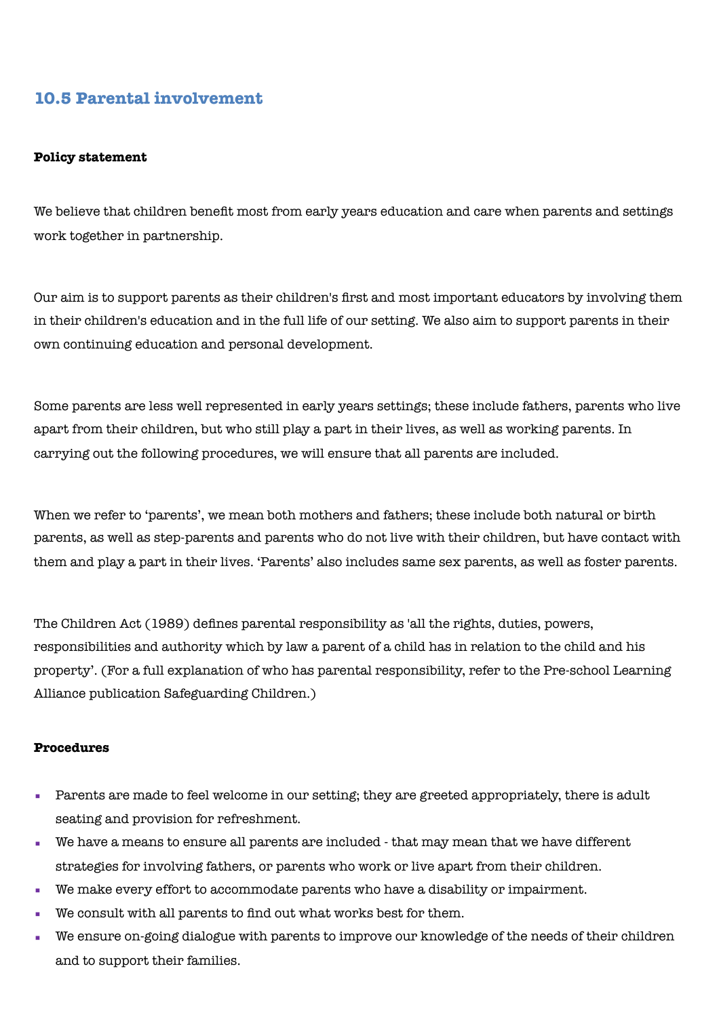## **10.5 Parental involvement**

## **Policy statement**

We believe that children benefit most from early years education and care when parents and settings work together in partnership.

Our aim is to support parents as their children's first and most important educators by involving them in their children's education and in the full life of our setting. We also aim to support parents in their own continuing education and personal development.

Some parents are less well represented in early years settings; these include fathers, parents who live apart from their children, but who still play a part in their lives, as well as working parents. In carrying out the following procedures, we will ensure that all parents are included.

When we refer to 'parents', we mean both mothers and fathers; these include both natural or birth parents, as well as step-parents and parents who do not live with their children, but have contact with them and play a part in their lives. 'Parents' also includes same sex parents, as well as foster parents.

The Children Act (1989) defines parental responsibility as 'all the rights, duties, powers, responsibilities and authority which by law a parent of a child has in relation to the child and his property'. (For a full explanation of who has parental responsibility, refer to the Pre-school Learning Alliance publication Safeguarding Children.)

## **Procedures**

- Parents are made to feel welcome in our setting; they are greeted appropriately, there is adult seating and provision for refreshment.
- We have a means to ensure all parents are included that may mean that we have different strategies for involving fathers, or parents who work or live apart from their children.
- We make every effort to accommodate parents who have a disability or impairment.
- We consult with all parents to find out what works best for them.
- We ensure on-going dialogue with parents to improve our knowledge of the needs of their children and to support their families.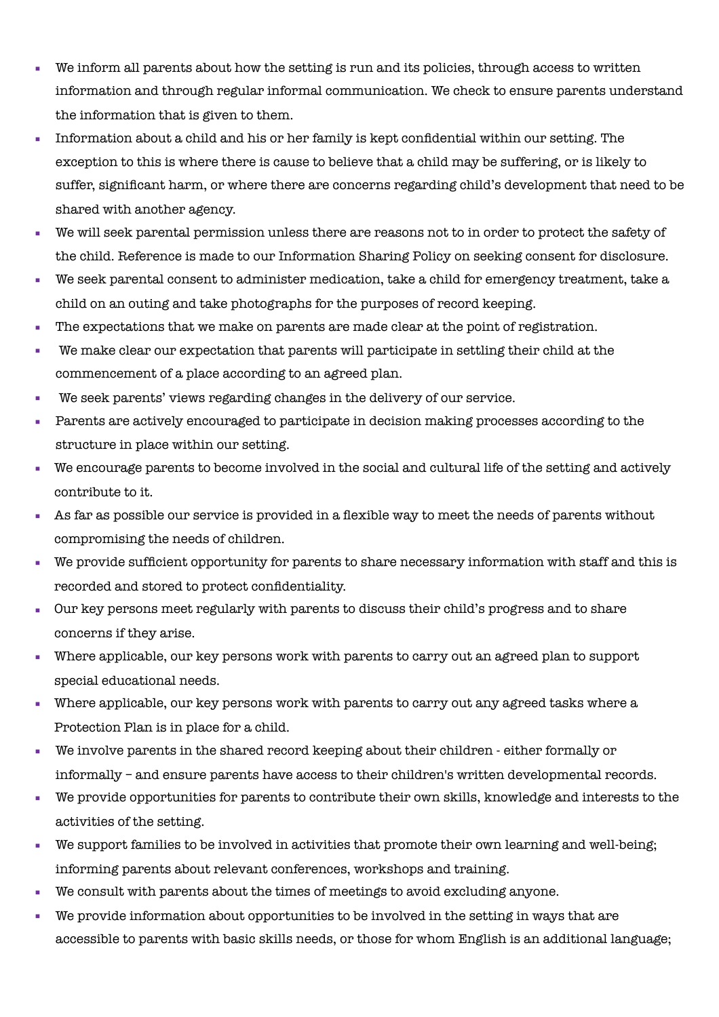- We inform all parents about how the setting is run and its policies, through access to written information and through regular informal communication. We check to ensure parents understand the information that is given to them.
- Information about a child and his or her family is kept confidential within our setting. The exception to this is where there is cause to believe that a child may be suffering, or is likely to suffer, significant harm, or where there are concerns regarding child's development that need to be shared with another agency.
- We will seek parental permission unless there are reasons not to in order to protect the safety of the child. Reference is made to our Information Sharing Policy on seeking consent for disclosure.
- We seek parental consent to administer medication, take a child for emergency treatment, take a child on an outing and take photographs for the purposes of record keeping.
- The expectations that we make on parents are made clear at the point of registration.
- We make clear our expectation that parents will participate in settling their child at the commencement of a place according to an agreed plan.
- We seek parents' views regarding changes in the delivery of our service.
- Parents are actively encouraged to participate in decision making processes according to the structure in place within our setting.
- We encourage parents to become involved in the social and cultural life of the setting and actively contribute to it.
- As far as possible our service is provided in a flexible way to meet the needs of parents without compromising the needs of children.
- We provide sufficient opportunity for parents to share necessary information with staff and this is recorded and stored to protect confidentiality.
- Our key persons meet regularly with parents to discuss their child's progress and to share concerns if they arise.
- Where applicable, our key persons work with parents to carry out an agreed plan to support special educational needs.
- Where applicable, our key persons work with parents to carry out any agreed tasks where a Protection Plan is in place for a child.
- We involve parents in the shared record keeping about their children either formally or informally – and ensure parents have access to their children's written developmental records.
- We provide opportunities for parents to contribute their own skills, knowledge and interests to the activities of the setting.
- We support families to be involved in activities that promote their own learning and well-being; informing parents about relevant conferences, workshops and training.
- We consult with parents about the times of meetings to avoid excluding anyone.
- We provide information about opportunities to be involved in the setting in ways that are accessible to parents with basic skills needs, or those for whom English is an additional language;